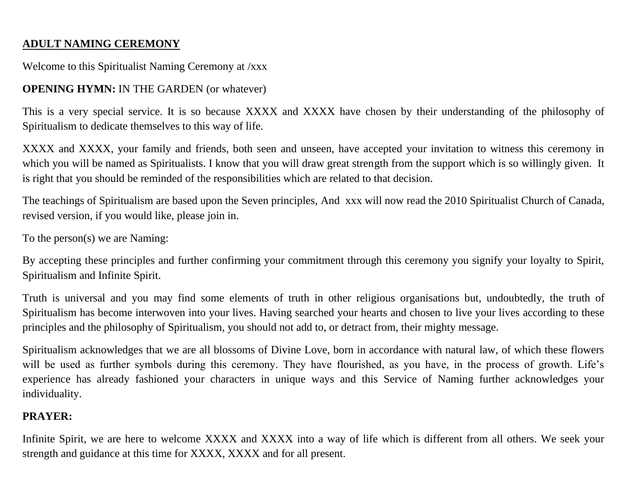## **ADULT NAMING CEREMONY**

#### Welcome to this Spiritualist Naming Ceremony at /xxx

### **OPENING HYMN:** IN THE GARDEN (or whatever)

This is a very special service. It is so because XXXX and XXXX have chosen by their understanding of the philosophy of Spiritualism to dedicate themselves to this way of life.

XXXX and XXXX, your family and friends, both seen and unseen, have accepted your invitation to witness this ceremony in which you will be named as Spiritualists. I know that you will draw great strength from the support which is so willingly given. It is right that you should be reminded of the responsibilities which are related to that decision.

The teachings of Spiritualism are based upon the Seven principles, And xxx will now read the 2010 Spiritualist Church of Canada, revised version, if you would like, please join in.

To the person(s) we are Naming:

By accepting these principles and further confirming your commitment through this ceremony you signify your loyalty to Spirit, Spiritualism and Infinite Spirit.

Truth is universal and you may find some elements of truth in other religious organisations but, undoubtedly, the truth of Spiritualism has become interwoven into your lives. Having searched your hearts and chosen to live your lives according to these principles and the philosophy of Spiritualism, you should not add to, or detract from, their mighty message.

Spiritualism acknowledges that we are all blossoms of Divine Love, born in accordance with natural law, of which these flowers will be used as further symbols during this ceremony. They have flourished, as you have, in the process of growth. Life's experience has already fashioned your characters in unique ways and this Service of Naming further acknowledges your individuality.

### **PRAYER:**

Infinite Spirit, we are here to welcome XXXX and XXXX into a way of life which is different from all others. We seek your strength and guidance at this time for XXXX, XXXX and for all present.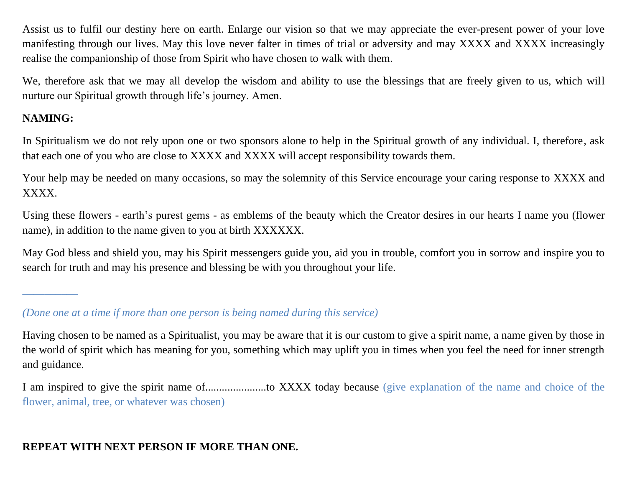Assist us to fulfil our destiny here on earth. Enlarge our vision so that we may appreciate the ever-present power of your love manifesting through our lives. May this love never falter in times of trial or adversity and may XXXX and XXXX increasingly realise the companionship of those from Spirit who have chosen to walk with them.

We, therefore ask that we may all develop the wisdom and ability to use the blessings that are freely given to us, which will nurture our Spiritual growth through life's journey. Amen.

## **NAMING:**

*\_\_\_\_\_\_\_\_\_\_*

In Spiritualism we do not rely upon one or two sponsors alone to help in the Spiritual growth of any individual. I, therefore, ask that each one of you who are close to XXXX and XXXX will accept responsibility towards them.

Your help may be needed on many occasions, so may the solemnity of this Service encourage your caring response to XXXX and XXXX.

Using these flowers - earth's purest gems - as emblems of the beauty which the Creator desires in our hearts I name you (flower name), in addition to the name given to you at birth XXXXXX.

May God bless and shield you, may his Spirit messengers guide you, aid you in trouble, comfort you in sorrow and inspire you to search for truth and may his presence and blessing be with you throughout your life.

# **REPEAT WITH NEXT PERSON IF MORE THAN ONE.**

*<sup>(</sup>Done one at a time if more than one person is being named during this service)*

Having chosen to be named as a Spiritualist, you may be aware that it is our custom to give a spirit name, a name given by those in the world of spirit which has meaning for you, something which may uplift you in times when you feel the need for inner strength and guidance.

I am inspired to give the spirit name of......................to XXXX today because (give explanation of the name and choice of the flower, animal, tree, or whatever was chosen)